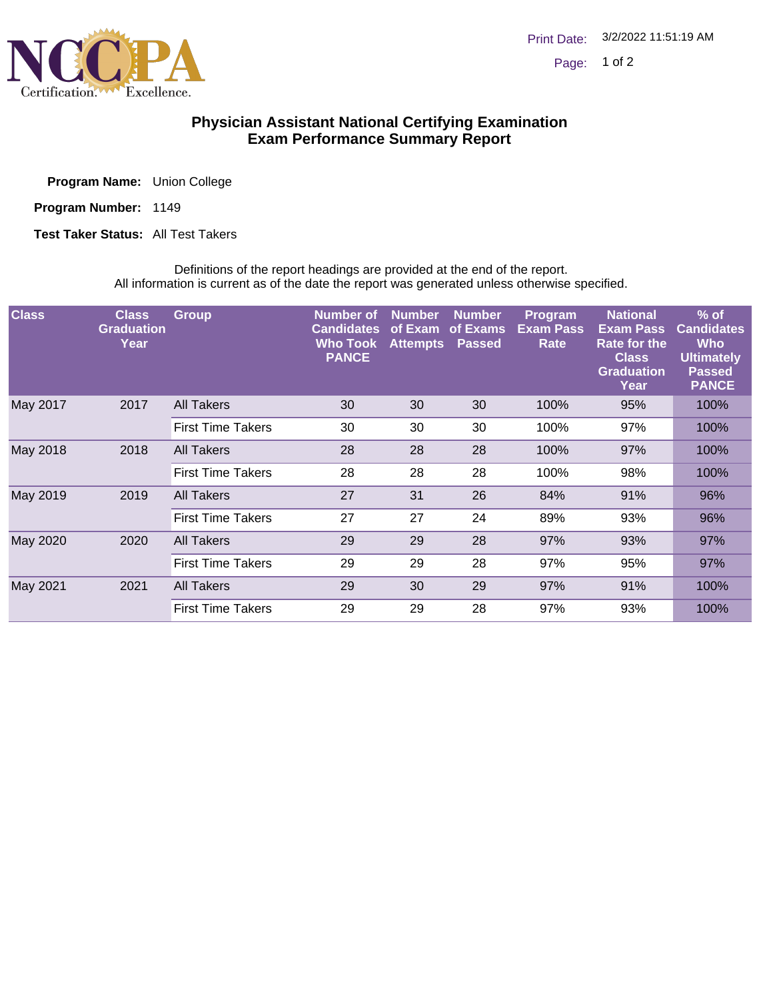

## **Physician Assistant National Certifying Examination Exam Performance Summary Report**

Program Name: Union College

Program Number: 1149

**Test Taker Status: All Test Takers** 

Definitions of the report headings are provided at the end of the report. All information is current as of the date the report was generated unless otherwise specified.

| <b>Class</b> | <b>Class</b><br><b>Graduation</b><br>Year | <b>Group</b>             | Number of<br><b>Candidates</b><br><b>Who Took</b><br><b>PANCE</b> | <b>Number</b><br>of Exam<br><b>Attempts</b> | <b>Number</b><br>of Exams<br><b>Passed</b> | <b>Program</b><br><b>Exam Pass</b><br>Rate | <b>National</b><br><b>Exam Pass</b><br><b>Rate for the</b><br><b>Class</b><br><b>Graduation</b><br>Year | $%$ of<br><b>Candidates</b><br><b>Who</b><br><b>Ultimately</b><br><b>Passed</b><br><b>PANCE</b> |
|--------------|-------------------------------------------|--------------------------|-------------------------------------------------------------------|---------------------------------------------|--------------------------------------------|--------------------------------------------|---------------------------------------------------------------------------------------------------------|-------------------------------------------------------------------------------------------------|
| May 2017     | 2017                                      | <b>All Takers</b>        | 30                                                                | 30                                          | 30                                         | 100%                                       | 95%                                                                                                     | 100%                                                                                            |
|              |                                           | <b>First Time Takers</b> | 30                                                                | 30                                          | 30                                         | 100%                                       | 97%                                                                                                     | 100%                                                                                            |
| May 2018     | 2018                                      | All Takers               | 28                                                                | 28                                          | 28                                         | 100%                                       | 97%                                                                                                     | 100%                                                                                            |
|              |                                           | <b>First Time Takers</b> | 28                                                                | 28                                          | 28                                         | 100%                                       | 98%                                                                                                     | 100%                                                                                            |
| May 2019     | 2019                                      | All Takers               | 27                                                                | 31                                          | 26                                         | 84%                                        | 91%                                                                                                     | 96%                                                                                             |
|              |                                           | <b>First Time Takers</b> | 27                                                                | 27                                          | 24                                         | 89%                                        | 93%                                                                                                     | 96%                                                                                             |
| May 2020     | 2020                                      | All Takers               | 29                                                                | 29                                          | 28                                         | 97%                                        | 93%                                                                                                     | 97%                                                                                             |
|              |                                           | <b>First Time Takers</b> | 29                                                                | 29                                          | 28                                         | 97%                                        | 95%                                                                                                     | 97%                                                                                             |
| May 2021     | 2021                                      | <b>All Takers</b>        | 29                                                                | 30                                          | 29                                         | 97%                                        | 91%                                                                                                     | 100%                                                                                            |
|              |                                           | <b>First Time Takers</b> | 29                                                                | 29                                          | 28                                         | 97%                                        | 93%                                                                                                     | 100%                                                                                            |